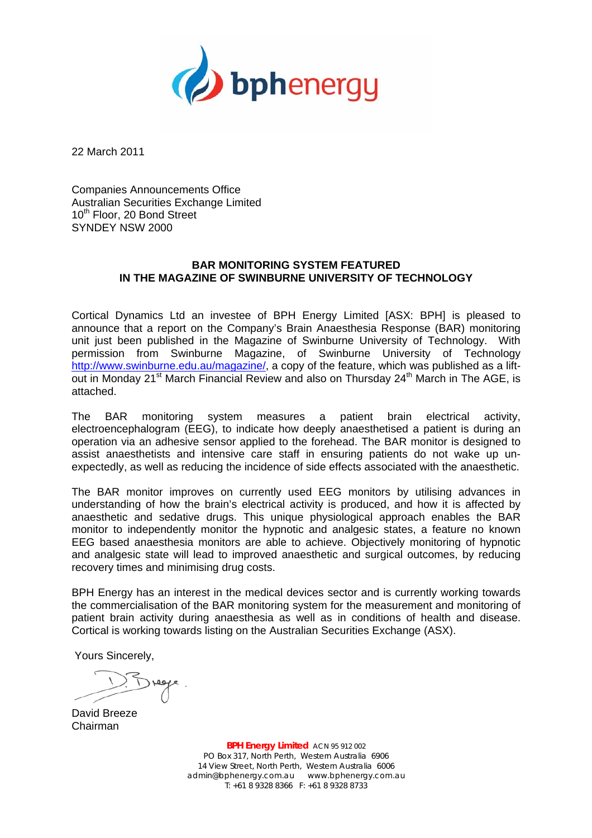

22 March 2011

Companies Announcements Office Australian Securities Exchange Limited 10<sup>th</sup> Floor, 20 Bond Street SYNDEY NSW 2000

# **BAR MONITORING SYSTEM FEATURED IN THE MAGAZINE OF SWINBURNE UNIVERSITY OF TECHNOLOGY**

Cortical Dynamics Ltd an investee of BPH Energy Limited [ASX: BPH] is pleased to announce that a report on the Company's Brain Anaesthesia Response (BAR) monitoring unit just been published in the Magazine of Swinburne University of Technology. With permission from Swinburne Magazine, of Swinburne University of Technology http://www.swinburne.edu.au/magazine/, a copy of the feature, which was published as a liftout in Monday 21<sup>st</sup> March Financial Review and also on Thursday 24<sup>th</sup> March in The AGE, is attached.

The BAR monitoring system measures a patient brain electrical activity, electroencephalogram (EEG), to indicate how deeply anaesthetised a patient is during an operation via an adhesive sensor applied to the forehead. The BAR monitor is designed to assist anaesthetists and intensive care staff in ensuring patients do not wake up unexpectedly, as well as reducing the incidence of side effects associated with the anaesthetic.

The BAR monitor improves on currently used EEG monitors by utilising advances in understanding of how the brain's electrical activity is produced, and how it is affected by anaesthetic and sedative drugs. This unique physiological approach enables the BAR monitor to independently monitor the hypnotic and analgesic states, a feature no known EEG based anaesthesia monitors are able to achieve. Objectively monitoring of hypnotic and analgesic state will lead to improved anaesthetic and surgical outcomes, by reducing recovery times and minimising drug costs.

BPH Energy has an interest in the medical devices sector and is currently working towards the commercialisation of the BAR monitoring system for the measurement and monitoring of patient brain activity during anaesthesia as well as in conditions of health and disease. Cortical is working towards listing on the Australian Securities Exchange (ASX).

Yours Sincerely,

David Breeze Chairman

**BPH Energy Limited** ACN 95 912 002 PO Box 317, North Perth, Western Australia 6906 14 View Street, North Perth, Western Australia 6006 admin@bphenergy.com.au www.bphenergy.com.au  $T: +61893288366$  F: +61 8 9328 8733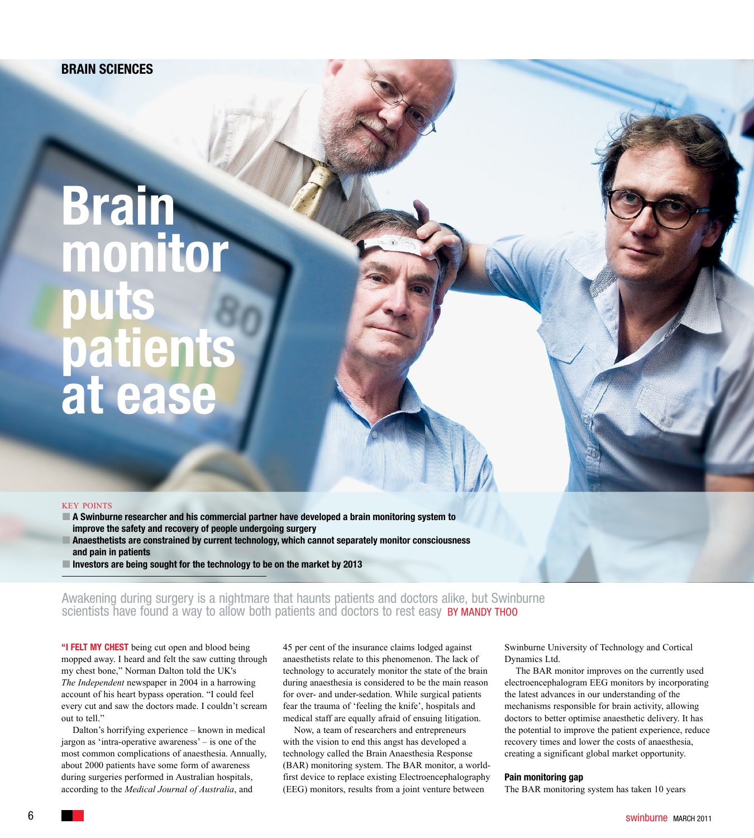# **Brain monitor puts patients at ease**

## key points

 **A Swinburne researcher and his commercial partner have developed a brain monitoring system to improve the safety and recovery of people undergoing surgery Anaesthetists are constrained by current technology, which cannot separately monitor consciousness and pain in patients** 

**Investors are being sought for the technology to be on the market by 2013**

Awakening during surgery is a nightmare that haunts patients and doctors alike, but Swinburne scientists have found a way to allow both patients and doctors to rest easy **BY MANDY THOO** 

**"I felt my chest** being cut open and blood being mopped away. I heard and felt the saw cutting through my chest bone," Norman Dalton told the UK's *The Independent* newspaper in 2004 in a harrowing account of his heart bypass operation. "I could feel every cut and saw the doctors made. I couldn't scream out to tell."

Dalton's horrifying experience – known in medical jargon as 'intra-operative awareness' – is one of the most common complications of anaesthesia. Annually, about 2000 patients have some form of awareness during surgeries performed in Australian hospitals, according to the *Medical Journal of Australia*, and

45 per cent of the insurance claims lodged against anaesthetists relate to this phenomenon. The lack of technology to accurately monitor the state of the brain during anaesthesia is considered to be the main reason for over- and under-sedation. While surgical patients fear the trauma of 'feeling the knife', hospitals and medical staff are equally afraid of ensuing litigation.

Now, a team of researchers and entrepreneurs with the vision to end this angst has developed a technology called the Brain Anaesthesia Response (BAR) monitoring system. The BAR monitor, a worldfirst device to replace existing Electroencephalography (EEG) monitors, results from a joint venture between

Swinburne University of Technology and Cortical Dynamics Ltd.

The BAR monitor improves on the currently used electroencephalogram EEG monitors by incorporating the latest advances in our understanding of the mechanisms responsible for brain activity, allowing doctors to better optimise anaesthetic delivery. It has the potential to improve the patient experience, reduce recovery times and lower the costs of anaesthesia, creating a significant global market opportunity.

#### **Pain monitoring gap**

The BAR monitoring system has taken 10 years